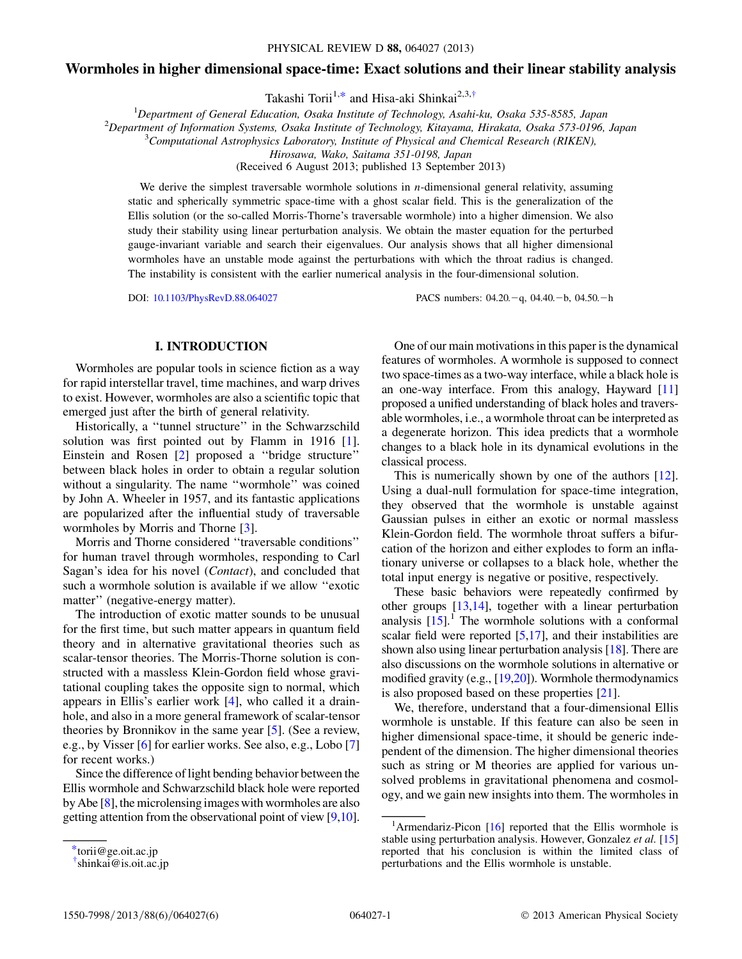# <span id="page-0-2"></span>Wormholes in higher dimensional space-time: Exact solutions and their linear stability analysis

Takashi Torii<sup>1[,\\*](#page-0-0)</sup> and Hisa-aki Shinkai<sup>2,3[,†](#page-0-1)</sup>

<sup>1</sup>Department of General Education, Osaka Institute of Technology, Asahi-ku, Osaka 535-8585, Japan <sup>2</sup>Department of Information Systems, Osaka Institute of Technology, *Extension* Firekata, Osaka 573, 0106

 $^{2}$ Department of Information Systems, Osaka Institute of Technology, Kitayama, Hirakata, Osaka 573-0196, Japan

 ${}^{3}$ Computational Astrophysics Laboratory, Institute of Physical and Chemical Research (RIKEN),

Hirosawa, Wako, Saitama 351-0198, Japan

(Received 6 August 2013; published 13 September 2013)

We derive the simplest traversable wormhole solutions in  $n$ -dimensional general relativity, assuming static and spherically symmetric space-time with a ghost scalar field. This is the generalization of the Ellis solution (or the so-called Morris-Thorne's traversable wormhole) into a higher dimension. We also study their stability using linear perturbation analysis. We obtain the master equation for the perturbed gauge-invariant variable and search their eigenvalues. Our analysis shows that all higher dimensional wormholes have an unstable mode against the perturbations with which the throat radius is changed. The instability is consistent with the earlier numerical analysis in the four-dimensional solution.

DOI: [10.1103/PhysRevD.88.064027](http://dx.doi.org/10.1103/PhysRevD.88.064027) PACS numbers: 04.20.-q, 04.40.-b, 04.50.-h

# I. INTRODUCTION

Wormholes are popular tools in science fiction as a way for rapid interstellar travel, time machines, and warp drives to exist. However, wormholes are also a scientific topic that emerged just after the birth of general relativity.

Historically, a ''tunnel structure'' in the Schwarzschild solution was first pointed out by Flamm in 1916 [[1\]](#page-4-0). Einstein and Rosen [[2\]](#page-4-1) proposed a ''bridge structure'' between black holes in order to obtain a regular solution without a singularity. The name ''wormhole'' was coined by John A. Wheeler in 1957, and its fantastic applications are popularized after the influential study of traversable wormholes by Morris and Thorne [\[3\]](#page-4-2).

Morris and Thorne considered ''traversable conditions'' for human travel through wormholes, responding to Carl Sagan's idea for his novel (Contact), and concluded that such a wormhole solution is available if we allow ''exotic matter'' (negative-energy matter).

The introduction of exotic matter sounds to be unusual for the first time, but such matter appears in quantum field theory and in alternative gravitational theories such as scalar-tensor theories. The Morris-Thorne solution is constructed with a massless Klein-Gordon field whose gravitational coupling takes the opposite sign to normal, which appears in Ellis's earlier work [[4\]](#page-4-3), who called it a drainhole, and also in a more general framework of scalar-tensor theories by Bronnikov in the same year [[5](#page-4-4)]. (See a review, e.g., by Visser [[6\]](#page-4-5) for earlier works. See also, e.g., Lobo [\[7\]](#page-4-6) for recent works.)

Since the difference of light bending behavior between the Ellis wormhole and Schwarzschild black hole were reported by Abe [\[8](#page-5-0)], the microlensing images with wormholes are also getting attention from the observational point of view [\[9](#page-5-1),[10](#page-5-2)].

One of our main motivations in this paper is the dynamical features of wormholes. A wormhole is supposed to connect two space-times as a two-way interface, while a black hole is an one-way interface. From this analogy, Hayward [\[11\]](#page-5-3) proposed a unified understanding of black holes and traversable wormholes, i.e., a wormhole throat can be interpreted as a degenerate horizon. This idea predicts that a wormhole changes to a black hole in its dynamical evolutions in the classical process.

This is numerically shown by one of the authors [[12\]](#page-5-4). Using a dual-null formulation for space-time integration, they observed that the wormhole is unstable against Gaussian pulses in either an exotic or normal massless Klein-Gordon field. The wormhole throat suffers a bifurcation of the horizon and either explodes to form an inflationary universe or collapses to a black hole, whether the total input energy is negative or positive, respectively.

These basic behaviors were repeatedly confirmed by other groups [[13](#page-5-5),[14\]](#page-5-6), together with a linear perturbation analysis  $[15]$ <sup>1</sup>. The wormhole solutions with a conformal scalar field were reported  $[5,17]$  $[5,17]$  $[5,17]$ , and their instabilities are shown also using linear perturbation analysis [\[18](#page-5-9)]. There are also discussions on the wormhole solutions in alternative or modified gravity (e.g., [\[19,](#page-5-10)[20](#page-5-11)]). Wormhole thermodynamics is also proposed based on these properties [[21\]](#page-5-12).

We, therefore, understand that a four-dimensional Ellis wormhole is unstable. If this feature can also be seen in higher dimensional space-time, it should be generic independent of the dimension. The higher dimensional theories such as string or M theories are applied for various unsolved problems in gravitational phenomena and cosmology, and we gain new insights into them. The wormholes in

<span id="page-0-0"></span>[<sup>\\*</sup>t](#page-0-2)orii@ge.oit.ac.jp

<span id="page-0-1"></span>[<sup>†</sup>](#page-0-2) shinkai@is.oit.ac.jp

<sup>&</sup>lt;sup>1</sup>Armendariz-Picon [\[16\]](#page-5-13) reported that the Ellis wormhole is stable using perturbation analysis. However, Gonzalez et al. [\[15\]](#page-5-7) reported that his conclusion is within the limited class of perturbations and the Ellis wormhole is unstable.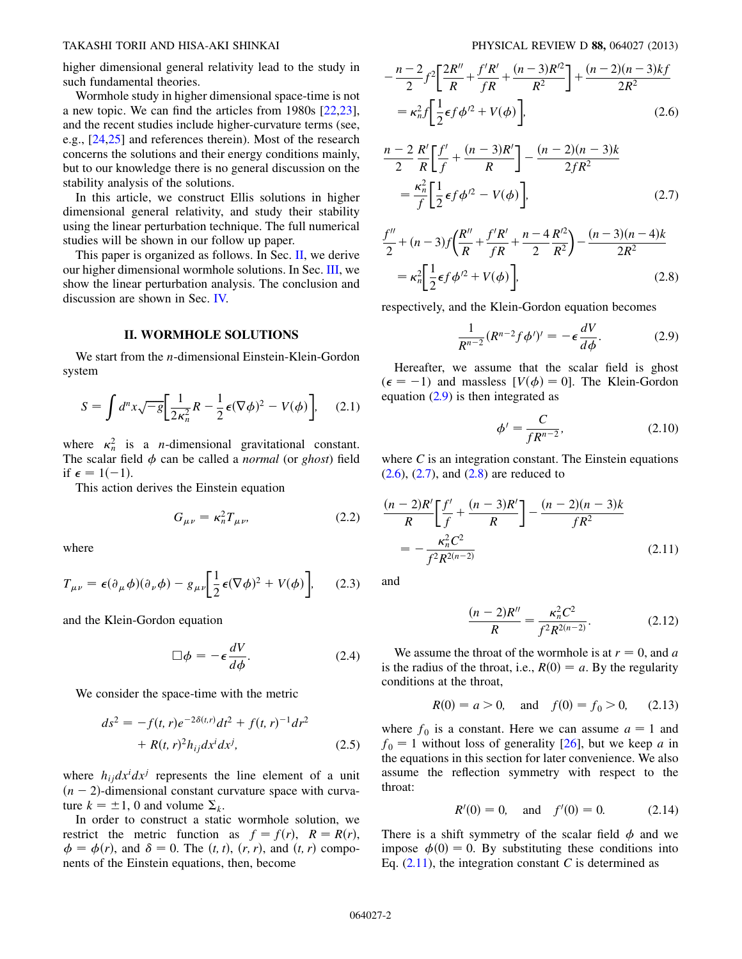### TAKASHI TORII AND HISA-AKI SHINKAI PHYSICAL REVIEW D 88, 064027 (2013)

higher dimensional general relativity lead to the study in such fundamental theories.

Wormhole study in higher dimensional space-time is not a new topic. We can find the articles from 1980s [\[22](#page-5-14)[,23\]](#page-5-15), and the recent studies include higher-curvature terms (see, e.g., [\[24](#page-5-16)[,25\]](#page-5-17) and references therein). Most of the research concerns the solutions and their energy conditions mainly, but to our knowledge there is no general discussion on the stability analysis of the solutions.

In this article, we construct Ellis solutions in higher dimensional general relativity, and study their stability using the linear perturbation technique. The full numerical studies will be shown in our follow up paper.

This paper is organized as follows. In Sec. [II,](#page-1-0) we derive our higher dimensional wormhole solutions. In Sec. [III,](#page-2-0) we show the linear perturbation analysis. The conclusion and discussion are shown in Sec. [IV.](#page-4-7)

#### II. WORMHOLE SOLUTIONS

<span id="page-1-0"></span>We start from the *n*-dimensional Einstein-Klein-Gordon system

$$
S = \int d^n x \sqrt{-g} \left[ \frac{1}{2\kappa_n^2} R - \frac{1}{2} \epsilon (\nabla \phi)^2 - V(\phi) \right], \quad (2.1)
$$

where  $\kappa_n^2$  is a *n*-dimensional gravitational constant. The scalar field  $\phi$  can be called a *normal* (or *ghost*) field if  $\epsilon = 1(-1)$ .

This action derives the Einstein equation

$$
G_{\mu\nu} = \kappa_n^2 T_{\mu\nu},\tag{2.2}
$$

where

$$
T_{\mu\nu} = \epsilon(\partial_{\mu}\phi)(\partial_{\nu}\phi) - g_{\mu\nu}\left[\frac{1}{2}\epsilon(\nabla\phi)^{2} + V(\phi)\right],
$$
 (2.3)

<span id="page-1-8"></span>and the Klein-Gordon equation

$$
\Box \phi = -\epsilon \frac{dV}{d\phi}.
$$
 (2.4)

We consider the space-time with the metric

$$
ds^{2} = -f(t, r)e^{-2\delta(t, r)}dt^{2} + f(t, r)^{-1}dr^{2} + R(t, r)^{2}h_{ij}dx^{i}dx^{j},
$$
\n(2.5)

where  $h_{ij}dx^i dx^j$  represents the line element of a unit  $(n - 2)$ -dimensional constant curvature space with curvature  $k = \pm 1$ , 0 and volume  $\Sigma_k$ .

In order to construct a static wormhole solution, we restrict the metric function as  $f = f(r)$ ,  $R = R(r)$ ,  $\phi = \phi(r)$ , and  $\delta = 0$ . The  $(t, t)$ ,  $(r, r)$ , and  $(t, r)$  components of the Einstein equations, then, become

<span id="page-1-3"></span>
$$
-\frac{n-2}{2}f^2\left[\frac{2R''}{R} + \frac{f'R'}{fR} + \frac{(n-3)R'^2}{R^2}\right] + \frac{(n-2)(n-3)kf}{2R^2}
$$

$$
= \kappa_n^2 f\left[\frac{1}{2}\epsilon f \phi'^2 + V(\phi)\right],
$$
(2.6)

<span id="page-1-4"></span>
$$
\frac{n-2}{2} \frac{R'}{R} \left[ \frac{f'}{f} + \frac{(n-3)R'}{R} \right] - \frac{(n-2)(n-3)k}{2fR^2} \n= \frac{\kappa_n^2}{f} \left[ \frac{1}{2} \epsilon f \phi'^2 - V(\phi) \right],
$$
\n(2.7)

$$
\frac{f''}{2} + (n-3)f\left(\frac{R''}{R} + \frac{f'R'}{fR} + \frac{n-4R'^2}{2R^2}\right) - \frac{(n-3)(n-4)k}{2R^2}
$$

$$
= \kappa_n^2 \left[\frac{1}{2}\epsilon f \phi'^2 + V(\phi)\right],
$$
(2.8)

<span id="page-1-2"></span><span id="page-1-1"></span>respectively, and the Klein-Gordon equation becomes

$$
\frac{1}{R^{n-2}}(R^{n-2}f\phi')' = -\epsilon \frac{dV}{d\phi}.
$$
 (2.9)

<span id="page-1-6"></span>Hereafter, we assume that the scalar field is ghost  $(\epsilon = -1)$  and massless  $[V(\phi) = 0]$ . The Klein-Gordon equation  $(2.9)$  $(2.9)$  $(2.9)$  is then integrated as

$$
\phi' = \frac{C}{fR^{n-2}},\tag{2.10}
$$

<span id="page-1-5"></span>where  $C$  is an integration constant. The Einstein equations  $(2.6), (2.7),$  $(2.6), (2.7),$  $(2.6), (2.7),$  $(2.6), (2.7),$  and  $(2.8)$  $(2.8)$  $(2.8)$  are reduced to

$$
\frac{(n-2)R'}{R} \left[ \frac{f'}{f} + \frac{(n-3)R'}{R} \right] - \frac{(n-2)(n-3)k}{fR^2}
$$

$$
= -\frac{\kappa_n^2 C^2}{f^2 R^{2(n-2)}} \tag{2.11}
$$

<span id="page-1-7"></span>and

$$
\frac{(n-2)R''}{R} = \frac{\kappa_n^2 C^2}{f^2 R^{2(n-2)}}.
$$
 (2.12)

We assume the throat of the wormhole is at  $r = 0$ , and a is the radius of the throat, i.e.,  $R(0) = a$ . By the regularity conditions at the throat,

$$
R(0) = a > 0
$$
, and  $f(0) = f_0 > 0$ , (2.13)

where  $f_0$  is a constant. Here we can assume  $a = 1$  and  $f_0 = 1$  without loss of generality [[26\]](#page-5-18), but we keep a in the equations in this section for later convenience. We also assume the reflection symmetry with respect to the throat:

$$
R'(0) = 0
$$
, and  $f'(0) = 0$ . (2.14)

There is a shift symmetry of the scalar field  $\phi$  and we impose  $\phi(0) = 0$ . By substituting these conditions into Eq.  $(2.11)$  $(2.11)$  $(2.11)$ , the integration constant C is determined as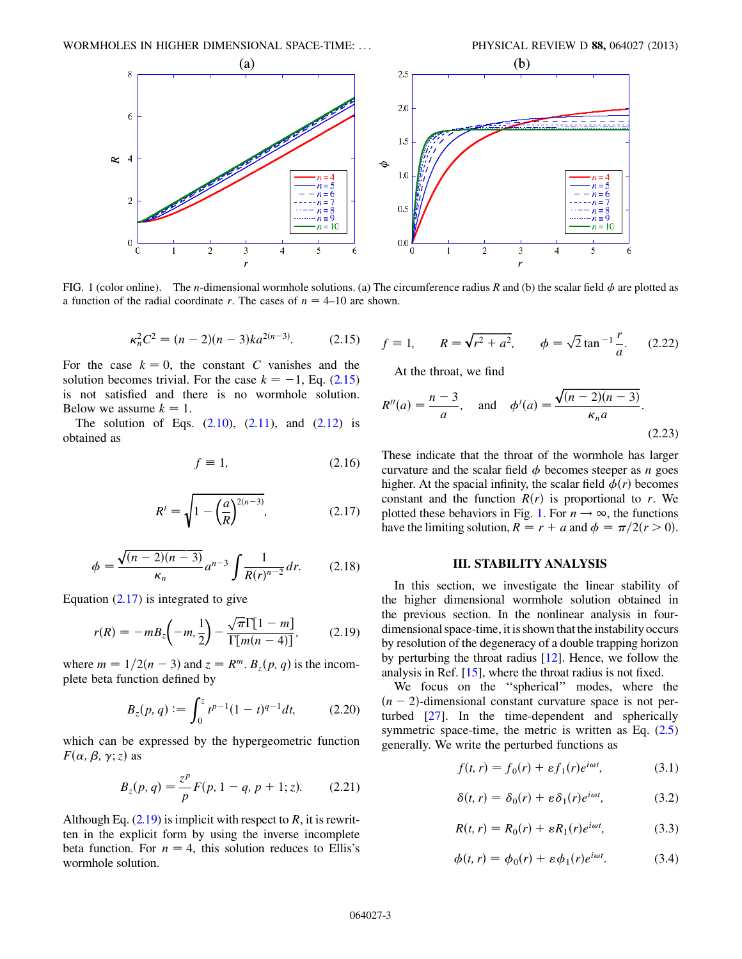<span id="page-2-4"></span>

FIG. 1 (color online). The *n*-dimensional wormhole solutions. (a) The circumference radius R and (b) the scalar field  $\phi$  are plotted as a function of the radial coordinate r. The cases of  $n = 4-10$  are shown.

$$
\kappa_n^2 C^2 = (n-2)(n-3)ka^{2(n-3)}.
$$
 (2.15)

<span id="page-2-1"></span>For the case  $k = 0$ , the constant C vanishes and the solution becomes trivial. For the case  $k = -1$ , Eq. ([2.15\)](#page-2-1) is not satisfied and there is no wormhole solution. Below we assume  $k = 1$ .

<span id="page-2-2"></span>The solution of Eqs.  $(2.10)$ ,  $(2.11)$  $(2.11)$ , and  $(2.12)$  $(2.12)$  is obtained as

$$
f \equiv 1,\tag{2.16}
$$

$$
R' = \sqrt{1 - \left(\frac{a}{R}\right)^{2(n-3)}},
$$
 (2.17)

$$
\phi = \frac{\sqrt{(n-2)(n-3)}}{\kappa_n} a^{n-3} \int \frac{1}{R(r)^{n-2}} dr. \tag{2.18}
$$

<span id="page-2-3"></span>Equation  $(2.17)$  $(2.17)$  is integrated to give

$$
r(R) = -mB_z \left( -m, \frac{1}{2} \right) - \frac{\sqrt{\pi} \Gamma[1 - m]}{\Gamma[m(n - 4)]},
$$
 (2.19)

where  $m = 1/2(n - 3)$  and  $z = R^m$ .  $B_z(p, q)$  is the incomplete beta function defined by

$$
B_z(p,q) := \int_0^z t^{p-1} (1-t)^{q-1} dt, \qquad (2.20)
$$

which can be expressed by the hypergeometric function  $F(\alpha, \beta, \gamma; z)$  as

$$
B_z(p,q) = \frac{z^p}{p} F(p, 1-q, p+1; z).
$$
 (2.21)

Although Eq.  $(2.19)$  is implicit with respect to R, it is rewritten in the explicit form by using the inverse incomplete beta function. For  $n = 4$ , this solution reduces to Ellis's wormhole solution.

$$
f \equiv 1
$$
,  $R = \sqrt{r^2 + a^2}$ ,  $\phi = \sqrt{2} \tan^{-1} \frac{r}{a}$ . (2.22)

At the throat, we find

$$
R''(a) = \frac{n-3}{a}
$$
, and  $\phi'(a) = \frac{\sqrt{(n-2)(n-3)}}{\kappa_n a}$ . (2.23)

These indicate that the throat of the wormhole has larger curvature and the scalar field  $\phi$  becomes steeper as n goes higher. At the spacial infinity, the scalar field  $\phi(r)$  becomes constant and the function  $R(r)$  is proportional to r. We plotted these behaviors in Fig. [1](#page-2-4). For  $n \to \infty$ , the functions have the limiting solution,  $R = r + a$  and  $\phi = \pi/2(r > 0)$ .

### III. STABILITY ANALYSIS

<span id="page-2-0"></span>In this section, we investigate the linear stability of the higher dimensional wormhole solution obtained in the previous section. In the nonlinear analysis in fourdimensional space-time, it is shown that the instability occurs by resolution of the degeneracy of a double trapping horizon by perturbing the throat radius [\[12](#page-5-4)]. Hence, we follow the analysis in Ref. [\[15\]](#page-5-7), where the throat radius is not fixed.

We focus on the ''spherical'' modes, where the  $(n - 2)$ -dimensional constant curvature space is not perturbed [[27](#page-5-19)]. In the time-dependent and spherically symmetric space-time, the metric is written as Eq.  $(2.5)$ generally. We write the perturbed functions as

$$
f(t,r) = f_0(r) + \varepsilon f_1(r)e^{i\omega t}, \qquad (3.1)
$$

$$
\delta(t,r) = \delta_0(r) + \varepsilon \delta_1(r) e^{i\omega t}, \tag{3.2}
$$

$$
R(t,r) = R_0(r) + \varepsilon R_1(r)e^{i\omega t}, \qquad (3.3)
$$

$$
\phi(t,r) = \phi_0(r) + \varepsilon \phi_1(r)e^{i\omega t}.
$$
 (3.4)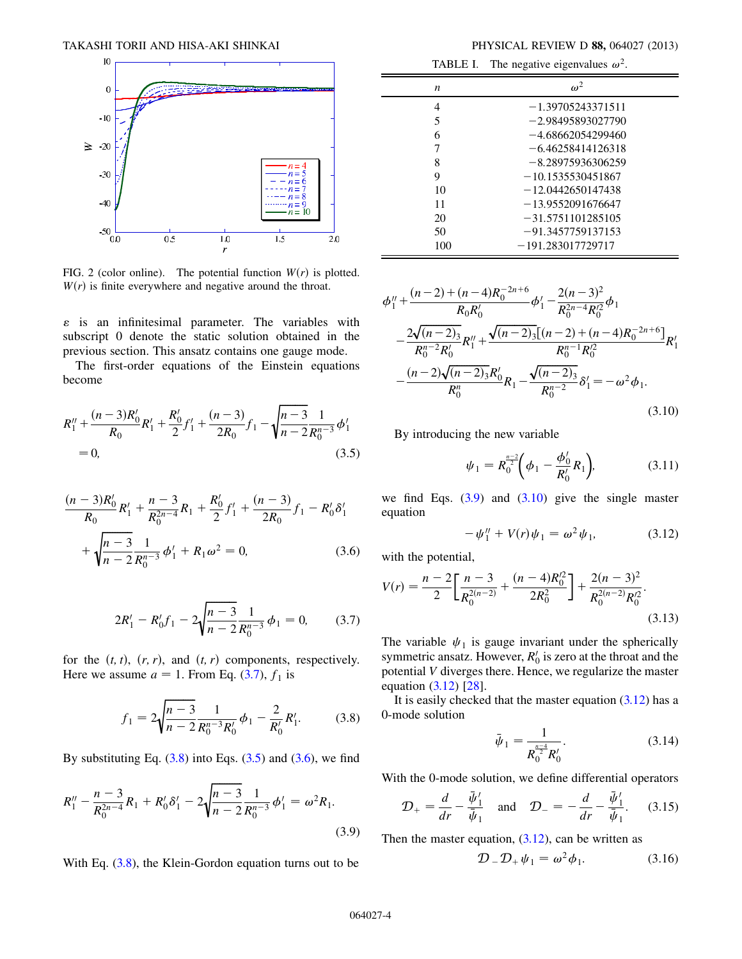<span id="page-3-7"></span>

FIG. 2 (color online). The potential function  $W(r)$  is plotted.  $W(r)$  is finite everywhere and negative around the throat.

 $\epsilon$  is an infinitesimal parameter. The variables with subscript 0 denote the static solution obtained in the previous section. This ansatz contains one gauge mode.

<span id="page-3-3"></span>The first-order equations of the Einstein equations become

$$
R_1'' + \frac{(n-3)R_0'}{R_0}R_1' + \frac{R_0'}{2}f_1' + \frac{(n-3)}{2R_0}f_1 - \sqrt{\frac{n-3}{n-2}}\frac{1}{R_0^{n-3}}\phi_1'
$$
  
= 0, (3.5)

<span id="page-3-0"></span>
$$
\frac{(n-3)R'_0}{R_0}R'_1 + \frac{n-3}{R_0^{2n-4}}R_1 + \frac{R'_0}{2}f'_1 + \frac{(n-3)}{2R_0}f_1 - R'_0\delta'_1
$$

$$
+ \sqrt{\frac{n-3}{n-2}}\frac{1}{R_0^{n-3}}\phi'_1 + R_1\omega^2 = 0,
$$
(3.6)

$$
2R'_1 - R'_0 f_1 - 2\sqrt{\frac{n-3}{n-2}} \frac{1}{R_0^{n-3}} \phi_1 = 0, \qquad (3.7)
$$

<span id="page-3-4"></span><span id="page-3-2"></span><span id="page-3-1"></span>for the  $(t, t)$ ,  $(r, r)$ , and  $(t, r)$  components, respectively. Here we assume  $a = 1$ . From Eq. ([3.7](#page-3-0)),  $f_1$  is

$$
f_1 = 2\sqrt{\frac{n-3}{n-2}} \frac{1}{R_0^{n-3} R_0'} \phi_1 - \frac{2}{R_0'} R_1'.
$$
 (3.8)

By substituting Eq.  $(3.8)$  $(3.8)$  $(3.8)$  into Eqs.  $(3.5)$  and  $(3.6)$  $(3.6)$  $(3.6)$ , we find

$$
R_1'' - \frac{n-3}{R_0^{2n-4}}R_1 + R_0' \delta_1' - 2\sqrt{\frac{n-3}{n-2}} \frac{1}{R_0^{n-3}} \phi_1' = \omega^2 R_1.
$$
\n(3.9)

With Eq.  $(3.8)$ , the Klein-Gordon equation turns out to be

TABLE I. The negative eigenvalues  $\omega^2$ .

<span id="page-3-8"></span>

| n   | $\omega^2$          |  |
|-----|---------------------|--|
| 4   | $-1.39705243371511$ |  |
| 5   | $-2.98495893027790$ |  |
| 6   | $-4.68662054299460$ |  |
|     | $-6.46258414126318$ |  |
| 8   | $-8.28975936306259$ |  |
| 9   | $-10.1535530451867$ |  |
| 10  | $-12.0442650147438$ |  |
| 11  | $-13.9552091676647$ |  |
| 20  | $-31.5751101285105$ |  |
| 50  | $-91.3457759137153$ |  |
| 100 | $-191.283017729717$ |  |

<span id="page-3-5"></span>
$$
\phi_{1}'' + \frac{(n-2) + (n-4)R_{0}^{-2n+6}}{R_{0}R'_{0}} \phi_{1}' - \frac{2(n-3)^{2}}{R_{0}^{2n-4}R_{0}^{2}} \phi_{1}
$$
  

$$
- \frac{2\sqrt{(n-2)_{3}}}{R_{0}^{n-2}R'_{0}} R_{1}'' + \frac{\sqrt{(n-2)_{3}}[(n-2) + (n-4)R_{0}^{-2n+6}]}{R_{0}^{n-1}R_{0}^{2}} R_{1}'
$$
  

$$
- \frac{(n-2)\sqrt{(n-2)_{3}}R'_{0}}{R_{0}^{n}} R_{1} - \frac{\sqrt{(n-2)_{3}}}{R_{0}^{n-2}} \delta_{1}' = -\omega^{2} \phi_{1}.
$$
  
(3.10)

By introducing the new variable

$$
\psi_1 = R_0^{\frac{n-2}{2}} \left( \phi_1 - \frac{\phi_0'}{R_0'} R_1 \right), \tag{3.11}
$$

<span id="page-3-6"></span>we find Eqs.  $(3.9)$  $(3.9)$  $(3.9)$  and  $(3.10)$  $(3.10)$  $(3.10)$  give the single master equation

$$
-\psi_1'' + V(r)\psi_1 = \omega^2 \psi_1, \tag{3.12}
$$

with the potential,

$$
V(r) = \frac{n-2}{2} \left[ \frac{n-3}{R_0^{2(n-2)}} + \frac{(n-4)R_0^2}{2R_0^2} \right] + \frac{2(n-3)^2}{R_0^{2(n-2)}R_0^2}.
$$
\n(3.13)

The variable  $\psi_1$  is gauge invariant under the spherically symmetric ansatz. However,  $R'_0$  is zero at the throat and the potential V diverges there. Hence, we regularize the master equation ([3.12](#page-3-6)) [\[28\]](#page-5-20).

It is easily checked that the master equation  $(3.12)$  $(3.12)$  has a 0-mode solution

$$
\bar{\psi}_1 = \frac{1}{R_0^{\frac{n-4}{2}} R_0'}.\tag{3.14}
$$

With the 0-mode solution, we define differential operators

$$
\mathcal{D}_{+} = \frac{d}{dr} - \frac{\bar{\psi}_{1}'}{\bar{\psi}_{1}} \quad \text{and} \quad \mathcal{D}_{-} = -\frac{d}{dr} - \frac{\bar{\psi}_{1}'}{\bar{\psi}_{1}}.
$$
 (3.15)

Then the master equation,  $(3.12)$  $(3.12)$  $(3.12)$ , can be written as

$$
\mathcal{D}_{-}\mathcal{D}_{+}\psi_1 = \omega^2 \phi_1. \tag{3.16}
$$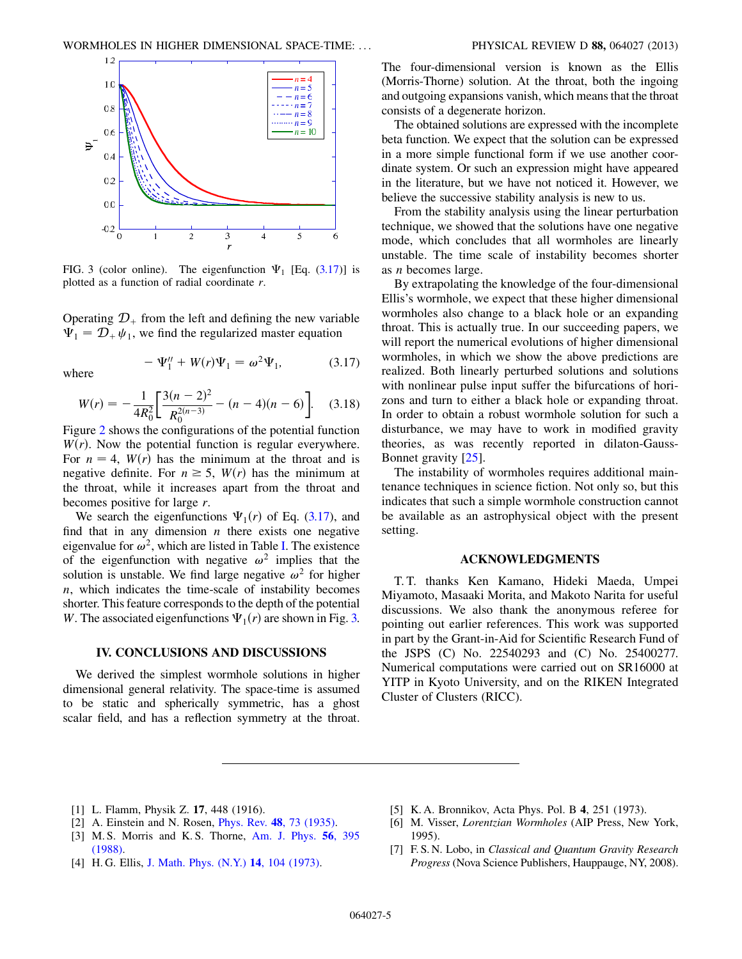<span id="page-4-9"></span>

FIG. 3 (color online). The eigenfunction  $\Psi_1$  [Eq. ([3.17\)](#page-4-8)] is plotted as a function of radial coordinate  $r$ .

Operating  $\mathcal{D}_+$  from the left and defining the new variable  $\Psi_1 = \mathcal{D}_+ \psi_1$ , we find the regularized master equation

<span id="page-4-8"></span>
$$
-\Psi_{1}^{\prime\prime} + W(r)\Psi_{1} = \omega^{2}\Psi_{1}, \qquad (3.17)
$$
 where

$$
W(r) = -\frac{1}{4R_0^2} \left[ \frac{3(n-2)^2}{R_0^{2(n-3)}} - (n-4)(n-6) \right].
$$
 (3.18)

Figure [2](#page-3-7) shows the configurations of the potential function  $W(r)$ . Now the potential function is regular everywhere. For  $n = 4$ ,  $W(r)$  has the minimum at the throat and is negative definite. For  $n \geq 5$ ,  $W(r)$  has the minimum at the throat, while it increases apart from the throat and becomes positive for large r.

We search the eigenfunctions  $\Psi_1(r)$  of Eq. ([3.17](#page-4-8)), and find that in any dimension  $n$  there exists one negative eigenvalue for  $\omega^2$ , which are listed in Table [I.](#page-3-8) The existence of the eigenfunction with negative  $\omega^2$  implies that the solution is unstable. We find large negative  $\omega^2$  for higher  $n$ , which indicates the time-scale of instability becomes shorter. This feature corresponds to the depth of the potential W. The associated eigenfunctions  $\Psi_1(r)$  are shown in Fig. [3.](#page-4-9)

### IV. CONCLUSIONS AND DISCUSSIONS

<span id="page-4-7"></span>We derived the simplest wormhole solutions in higher dimensional general relativity. The space-time is assumed to be static and spherically symmetric, has a ghost scalar field, and has a reflection symmetry at the throat. The four-dimensional version is known as the Ellis (Morris-Thorne) solution. At the throat, both the ingoing and outgoing expansions vanish, which means that the throat consists of a degenerate horizon.

The obtained solutions are expressed with the incomplete beta function. We expect that the solution can be expressed in a more simple functional form if we use another coordinate system. Or such an expression might have appeared in the literature, but we have not noticed it. However, we believe the successive stability analysis is new to us.

From the stability analysis using the linear perturbation technique, we showed that the solutions have one negative mode, which concludes that all wormholes are linearly unstable. The time scale of instability becomes shorter as n becomes large.

By extrapolating the knowledge of the four-dimensional Ellis's wormhole, we expect that these higher dimensional wormholes also change to a black hole or an expanding throat. This is actually true. In our succeeding papers, we will report the numerical evolutions of higher dimensional wormholes, in which we show the above predictions are realized. Both linearly perturbed solutions and solutions with nonlinear pulse input suffer the bifurcations of horizons and turn to either a black hole or expanding throat. In order to obtain a robust wormhole solution for such a disturbance, we may have to work in modified gravity theories, as was recently reported in dilaton-Gauss-Bonnet gravity [\[25\]](#page-5-17).

The instability of wormholes requires additional maintenance techniques in science fiction. Not only so, but this indicates that such a simple wormhole construction cannot be available as an astrophysical object with the present setting.

## ACKNOWLEDGMENTS

T. T. thanks Ken Kamano, Hideki Maeda, Umpei Miyamoto, Masaaki Morita, and Makoto Narita for useful discussions. We also thank the anonymous referee for pointing out earlier references. This work was supported in part by the Grant-in-Aid for Scientific Research Fund of the JSPS (C) No. 22540293 and (C) No. 25400277. Numerical computations were carried out on SR16000 at YITP in Kyoto University, and on the RIKEN Integrated Cluster of Clusters (RICC).

- <span id="page-4-1"></span><span id="page-4-0"></span>[1] L. Flamm, Physik Z. 17, 448 (1916).
- <span id="page-4-2"></span>[2] A. Einstein and N. Rosen, *Phys. Rev.* **48**[, 73 \(1935\)](http://dx.doi.org/10.1103/PhysRev.48.73).
- [3] M. S. Morris and K. S. Thorne, [Am. J. Phys.](http://dx.doi.org/10.1119/1.15620) 56, 395 [\(1988\)](http://dx.doi.org/10.1119/1.15620).
- <span id="page-4-3"></span>[4] H. G. Ellis, [J. Math. Phys. \(N.Y.\)](http://dx.doi.org/10.1063/1.1666161) **14**, 104 (1973).
- <span id="page-4-5"></span><span id="page-4-4"></span>[5] K. A. Bronnikov, Acta Phys. Pol. B 4, 251 (1973).
- [6] M. Visser, Lorentzian Wormholes (AIP Press, New York, 1995).
- <span id="page-4-6"></span>[7] F. S. N. Lobo, in Classical and Quantum Gravity Research Progress (Nova Science Publishers, Hauppauge, NY, 2008).